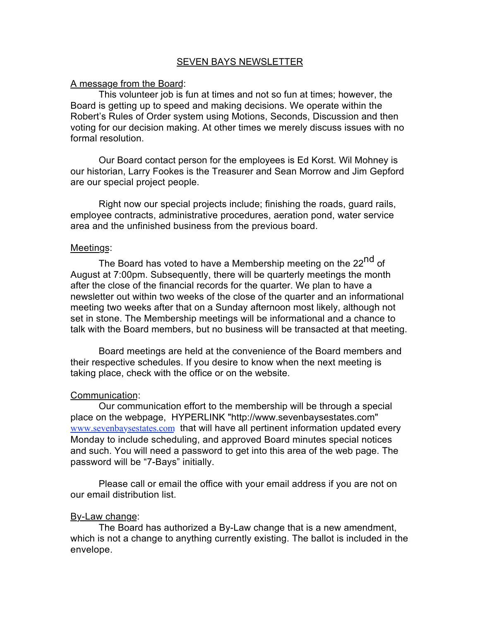# SEVEN BAYS NEWSLETTER

### A message from the Board:

This volunteer job is fun at times and not so fun at times; however, the Board is getting up to speed and making decisions. We operate within the Robert's Rules of Order system using Motions, Seconds, Discussion and then voting for our decision making. At other times we merely discuss issues with no formal resolution.

Our Board contact person for the employees is Ed Korst. Wil Mohney is our historian, Larry Fookes is the Treasurer and Sean Morrow and Jim Gepford are our special project people.

Right now our special projects include; finishing the roads, guard rails, employee contracts, administrative procedures, aeration pond, water service area and the unfinished business from the previous board.

#### Meetings:

The Board has voted to have a Membership meeting on the 22<sup>nd</sup> of August at 7:00pm. Subsequently, there will be quarterly meetings the month after the close of the financial records for the quarter. We plan to have a newsletter out within two weeks of the close of the quarter and an informational meeting two weeks after that on a Sunday afternoon most likely, although not set in stone. The Membership meetings will be informational and a chance to talk with the Board members, but no business will be transacted at that meeting.

Board meetings are held at the convenience of the Board members and their respective schedules. If you desire to know when the next meeting is taking place, check with the office or on the website.

### Communication:

Our communication effort to the membership will be through a special place on the webpage, HYPERLINK "http://www.sevenbaysestates.com" www.sevenbaysestates.com that will have all pertinent information updated every Monday to include scheduling, and approved Board minutes special notices and such. You will need a password to get into this area of the web page. The password will be "7-Bays" initially.

Please call or email the office with your email address if you are not on our email distribution list.

### By-Law change:

The Board has authorized a By-Law change that is a new amendment, which is not a change to anything currently existing. The ballot is included in the envelope.